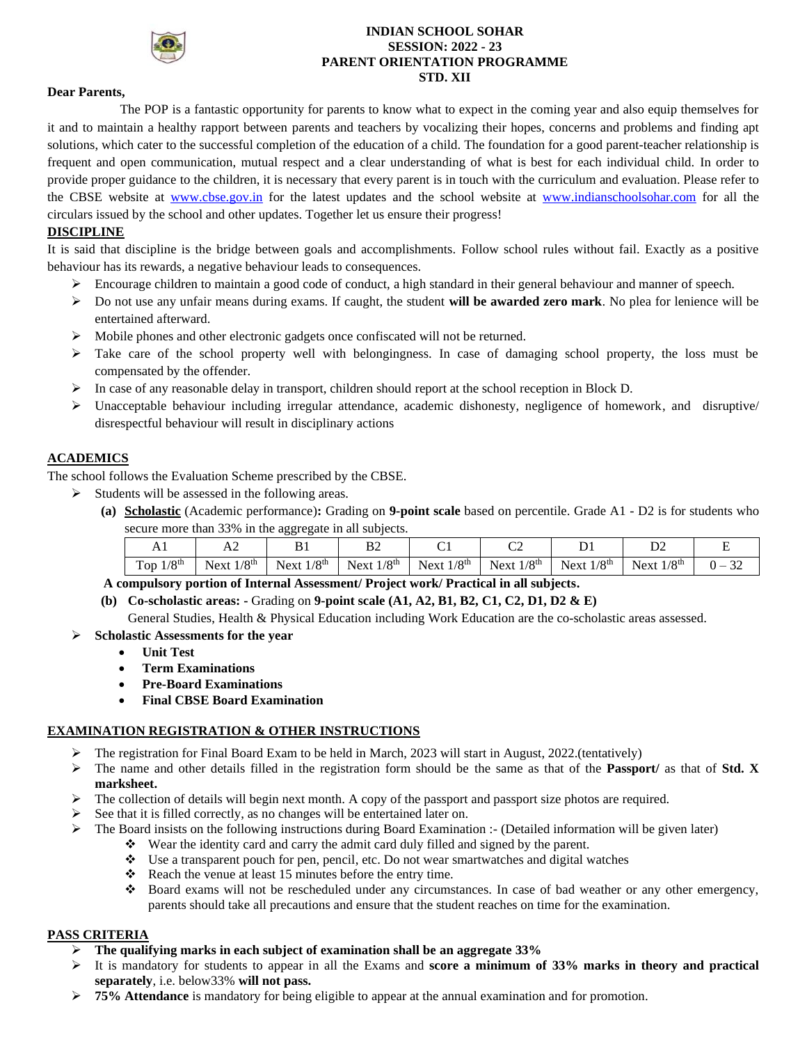

### **INDIAN SCHOOL SOHAR SESSION: 2022 - 23 PARENT ORIENTATION PROGRAMME STD. XII**

### **Dear Parents,**

The POP is a fantastic opportunity for parents to know what to expect in the coming year and also equip themselves for it and to maintain a healthy rapport between parents and teachers by vocalizing their hopes, concerns and problems and finding apt solutions, which cater to the successful completion of the education of a child. The foundation for a good parent-teacher relationship is frequent and open communication, mutual respect and a clear understanding of what is best for each individual child. In order to provide proper guidance to the children, it is necessary that every parent is in touch with the curriculum and evaluation. Please refer to the CBSE website at [www.cbse.gov.in](http://www.cbse.gov.in/) for the latest updates and the school website at [www.indianschoolsohar.com](http://www.indianschoolsohar.com/) for all the circulars issued by the school and other updates. Together let us ensure their progress!

### **DISCIPLINE**

It is said that discipline is the bridge between goals and accomplishments. Follow school rules without fail. Exactly as a positive behaviour has its rewards, a negative behaviour leads to consequences.

- $\triangleright$  Encourage children to maintain a good code of conduct, a high standard in their general behaviour and manner of speech.
- ➢ Do not use any unfair means during exams. If caught, the student **will be awarded zero mark**. No plea for lenience will be entertained afterward.
- $\triangleright$  Mobile phones and other electronic gadgets once confiscated will not be returned.
- $\triangleright$  Take care of the school property well with belongingness. In case of damaging school property, the loss must be compensated by the offender.
- $\triangleright$  In case of any reasonable delay in transport, children should report at the school reception in Block D.
- $\triangleright$  Unacceptable behaviour including irregular attendance, academic dishonesty, negligence of homework, and disruptive/ disrespectful behaviour will result in disciplinary actions

### **ACADEMICS**

The school follows the Evaluation Scheme prescribed by the CBSE.

- ➢ Students will be assessed in the following areas.
	- **(a) Scholastic** (Academic performance)**:** Grading on **9-point scale** based on percentile. Grade A1 D2 is for students who secure more than 33% in the aggregate in all subjects.

| 1 T T                   | ℶ∠                       |                            | DΖ                       |              | $\sim$<br>◡▵             |                          |                              |                       |
|-------------------------|--------------------------|----------------------------|--------------------------|--------------|--------------------------|--------------------------|------------------------------|-----------------------|
| Top $1/8$ <sup>th</sup> | Next $1/8$ <sup>th</sup> | $1/8^{\text{th}}$<br>Next. | Next $1/8$ <sup>th</sup> | Next $1/8th$ | Next $1/8$ <sup>th</sup> | Next $1/8$ <sup>th</sup> | $1/8$ <sup>th</sup><br>Next. | $\sim$<br>$\cdot$ $-$ |

## **A compulsory portion of Internal Assessment/ Project work/ Practical in all subjects.**

**(b) Co-scholastic areas: -** Grading on **9-point scale (A1, A2, B1, B2, C1, C2, D1, D2 & E)**

General Studies, Health & Physical Education including Work Education are the co-scholastic areas assessed.

- ➢ **Scholastic Assessments for the year**
	- **Unit Test**
	- **Term Examinations**
	- **Pre-Board Examinations**
	- **Final CBSE Board Examination**

### **EXAMINATION REGISTRATION & OTHER INSTRUCTIONS**

- ➢ The registration for Final Board Exam to be held in March, 2023 will start in August, 2022.(tentatively)
- ➢ The name and other details filled in the registration form should be the same as that of the **Passport/** as that of **Std. X marksheet.**
- $\triangleright$  The collection of details will begin next month. A copy of the passport and passport size photos are required.
- See that it is filled correctly, as no changes will be entertained later on.
- $\triangleright$  The Board insists on the following instructions during Board Examination :- (Detailed information will be given later)
	- ❖ Wear the identity card and carry the admit card duly filled and signed by the parent.
	- $\bullet$  Use a transparent pouch for pen, pencil, etc. Do not wear smartwatches and digital watches
	- ❖ Reach the venue at least 15 minutes before the entry time.
	- ❖ Board exams will not be rescheduled under any circumstances. In case of bad weather or any other emergency, parents should take all precautions and ensure that the student reaches on time for the examination.

### **PASS CRITERIA**

- ➢ **The qualifying marks in each subject of examination shall be an aggregate 33%**
- ➢ It is mandatory for students to appear in all the Exams and **score a minimum of 33% marks in theory and practical separately**, i.e. below33% **will not pass.**
- ➢ **75% Attendance** is mandatory for being eligible to appear at the annual examination and for promotion.